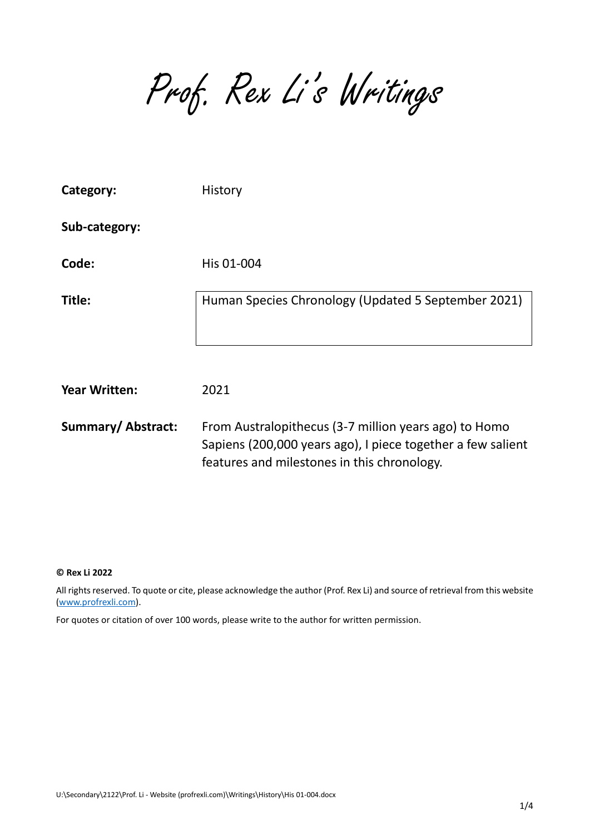Prof. Rex Li's Writings

| Category:                | History                                                                                                                                                             |
|--------------------------|---------------------------------------------------------------------------------------------------------------------------------------------------------------------|
| Sub-category:            |                                                                                                                                                                     |
| Code:                    | His 01-004                                                                                                                                                          |
| Title:                   | Human Species Chronology (Updated 5 September 2021)                                                                                                                 |
| <b>Year Written:</b>     | 2021                                                                                                                                                                |
| <b>Summary/Abstract:</b> | From Australopithecus (3-7 million years ago) to Homo<br>Sapiens (200,000 years ago), I piece together a few salient<br>features and milestones in this chronology. |

## **© Rex Li 2022**

All rights reserved. To quote or cite, please acknowledge the author (Prof. Rex Li) and source of retrieval from this website [\(www.profrexli.com\)](http://www.profrexli.com/).

For quotes or citation of over 100 words, please write to the author for written permission.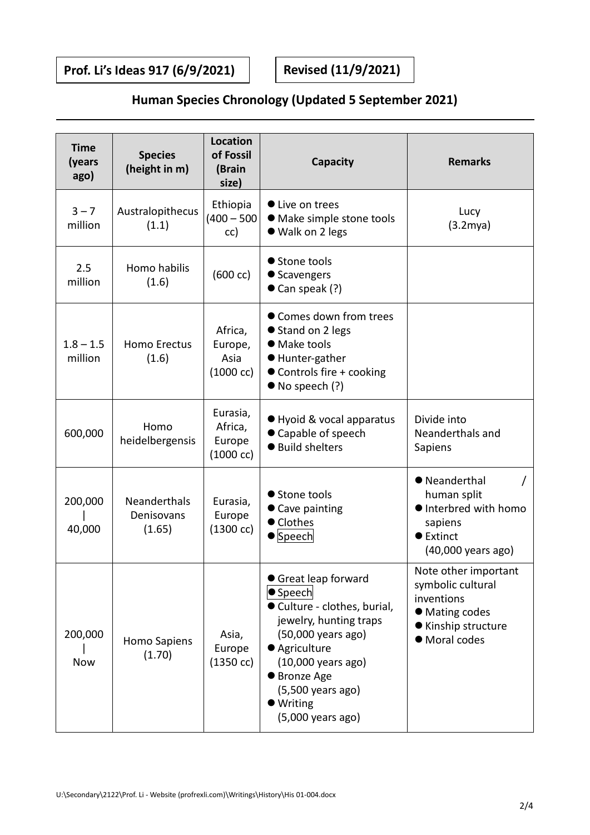**Prof. Li's Ideas 917 (6/9/2021) Revised (11/9/2021)**

## **Human Species Chronology (Updated 5 September 2021)**

| <b>Time</b><br>(years<br>ago) | <b>Species</b><br>(height in m)      | <b>Location</b><br>of Fossil<br>(Brain<br>size)      | Capacity                                                                                                                                                                                                                                       | <b>Remarks</b>                                                                                                    |
|-------------------------------|--------------------------------------|------------------------------------------------------|------------------------------------------------------------------------------------------------------------------------------------------------------------------------------------------------------------------------------------------------|-------------------------------------------------------------------------------------------------------------------|
| $3 - 7$<br>million            | Australopithecus<br>(1.1)            | Ethiopia<br>$(400 - 500)$<br>cc)                     | • Live on trees<br>• Make simple stone tools<br>● Walk on 2 legs                                                                                                                                                                               | Lucy<br>$(3.2$ mya $)$                                                                                            |
| 2.5<br>million                | Homo habilis<br>(1.6)                | $(600 \ncc)$                                         | ● Stone tools<br>● Scavengers<br>$\bullet$ Can speak (?)                                                                                                                                                                                       |                                                                                                                   |
| $1.8 - 1.5$<br>million        | <b>Homo Erectus</b><br>(1.6)         | Africa,<br>Europe,<br>Asia<br>$(1000 \text{ cc})$    | ● Comes down from trees<br>● Stand on 2 legs<br>• Make tools<br>● Hunter-gather<br>● Controls fire + cooking<br>$\bullet$ No speech (?)                                                                                                        |                                                                                                                   |
| 600,000                       | Homo<br>heidelbergensis              | Eurasia,<br>Africa,<br>Europe<br>$(1000 \text{ cc})$ | ● Hyoid & vocal apparatus<br>● Capable of speech<br>● Build shelters                                                                                                                                                                           | Divide into<br>Neanderthals and<br>Sapiens                                                                        |
| 200,000<br>40,000             | Neanderthals<br>Denisovans<br>(1.65) | Eurasia,<br>Europe<br>$(1300 \ncc)$                  | ● Stone tools<br>● Cave painting<br>● Clothes<br>$\bullet$ Speech                                                                                                                                                                              | ● Neanderthal<br>human split<br>● Interbred with homo<br>sapiens<br>● Extinct<br>(40,000 years ago)               |
| 200,000<br>Now                | <b>Homo Sapiens</b><br>(1.70)        | Asia,<br>Europe<br>(1350 cc)                         | ● Great leap forward<br>$\bullet$ Speech<br>● Culture - clothes, burial,<br>jewelry, hunting traps<br>(50,000 years ago)<br>● Agriculture<br>(10,000 years ago)<br>● Bronze Age<br>(5,500 years ago)<br>$\bullet$ Writing<br>(5,000 years ago) | Note other important<br>symbolic cultural<br>inventions<br>• Mating codes<br>● Kinship structure<br>· Moral codes |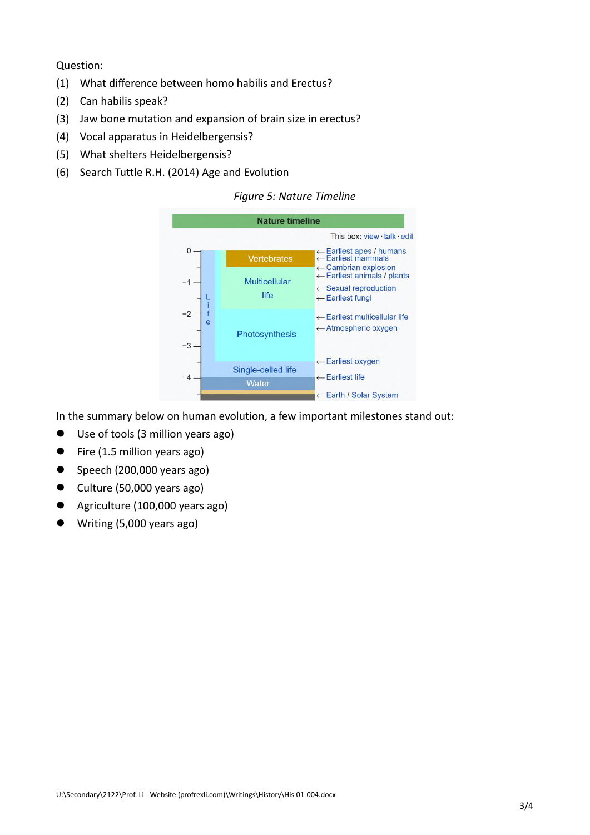Question:

- (1) What difference between homo habilis and Erectus?
- (2) Can habilis speak?
- (3) Jaw bone mutation and expansion of brain size in erectus?
- (4) Vocal apparatus in Heidelbergensis?
- (5) What shelters Heidelbergensis?
- (6) Search Tuttle R.H. (2014) Age and Evolution

## *Figure 5: Nature Timeline*



In the summary below on human evolution, a few important milestones stand out:

- Use of tools (3 million years ago)
- Fire (1.5 million years ago)
- $\bullet$  Speech (200,000 years ago)
- $\bullet$  Culture (50,000 years ago)
- Agriculture (100,000 years ago)
- Writing (5,000 years ago)